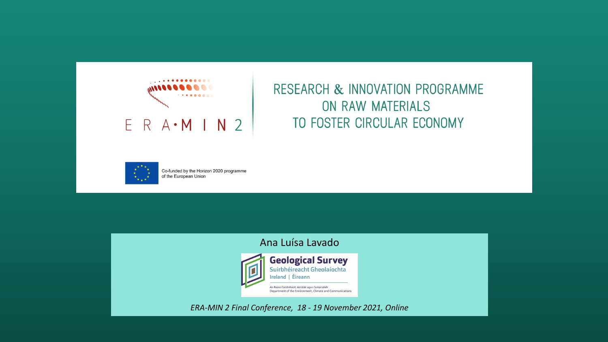

#### RESEARCH & INNOVATION PROGRAMME ON RAW MATERIALS TO FOSTER CIRCULAR ECONOMY



Co-funded by the Horizon 2020 programme of the European Union

Ana Luísa Lavado



*ERA-MIN 2 Final Conference, 18 - 19 November 2021, Online*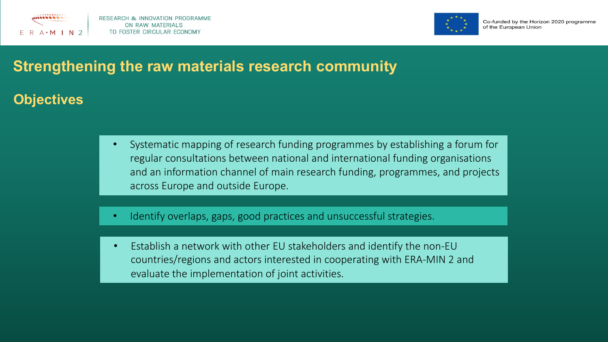



## **Strengthening the raw materials research community**

#### **Objectives**

- Systematic mapping of research funding programmes by establishing a forum for regular consultations between national and international funding organisations and an information channel of main research funding, programmes, and projects across Europe and outside Europe.
- Identify overlaps, gaps, good practices and unsuccessful strategies.
- Establish a network with other EU stakeholders and identify the non-EU countries/regions and actors interested in cooperating with ERA-MIN 2 and evaluate the implementation of joint activities.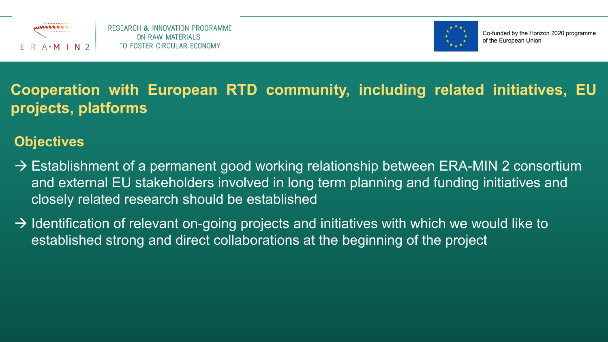

RESEARCH & INNOVATION PROGRAMME ON RAW MATERIALS TO FOSTER CIRCULAR ECONOMY



Co-funded by the Horizon 2020 programme of the European Union

# **Cooperation with European RTD community, including related initiatives, EU projects, platforms**

#### **Objectives**

- → Establishment of a permanent good working relationship between ERA-MIN 2 consortium and external EU stakeholders involved in long term planning and funding initiatives and closely related research should be established
- $\rightarrow$  Identification of relevant on-going projects and initiatives with which we would like to established strong and direct collaborations at the beginning of the project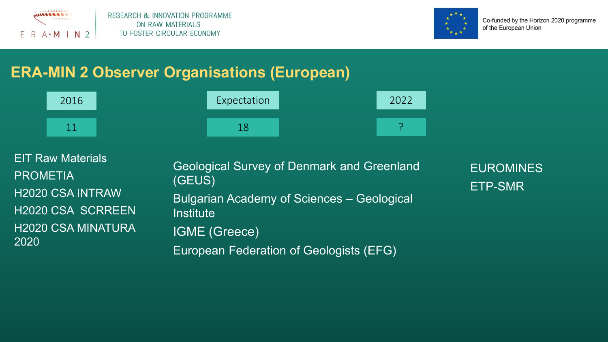



### **ERA-MIN 2 Observer Organisations (European)**



EIT Raw Materials PROMETIA H2020 CSA INTRAW H2020 CSA SCRREEN H2020 CSA MINATURA 2020

Geological Survey of Denmark and Greenland (GEUS) Bulgarian Academy of Sciences – Geological **Institute** IGME (Greece) European Federation of Geologists (EFG)

EUROMINES ETP-SMR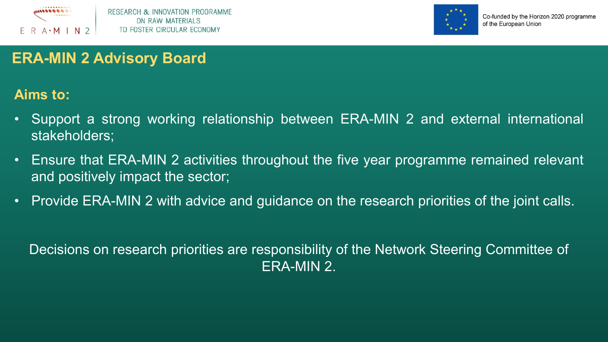



# **ERA-MIN 2 Advisory Board**

#### **Aims to:**

- Support a strong working relationship between ERA-MIN 2 and external international stakeholders;
- Ensure that ERA-MIN 2 activities throughout the five year programme remained relevant and positively impact the sector;
- Provide ERA-MIN 2 with advice and guidance on the research priorities of the joint calls.

Decisions on research priorities are responsibility of the Network Steering Committee of ERA-MIN 2.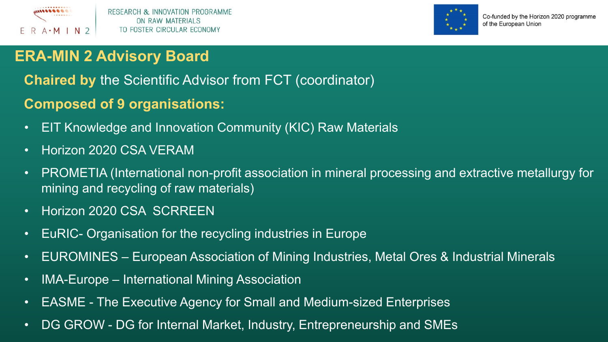



## **ERA-MIN 2 Advisory Board**

**Chaired by** the Scientific Advisor from FCT (coordinator)

### **Composed of 9 organisations:**

- EIT Knowledge and Innovation Community (KIC) Raw Materials
- Horizon 2020 CSA VERAM
- PROMETIA (International non-profit association in mineral processing and extractive metallurgy for mining and recycling of raw materials)
- Horizon 2020 CSA SCRREEN
- EuRIC- Organisation for the recycling industries in Europe
- EUROMINES European Association of Mining Industries, Metal Ores & Industrial Minerals
- IMA-Europe International Mining Association
- EASME The Executive Agency for Small and Medium-sized Enterprises
- DG GROW DG for Internal Market, Industry, Entrepreneurship and SMEs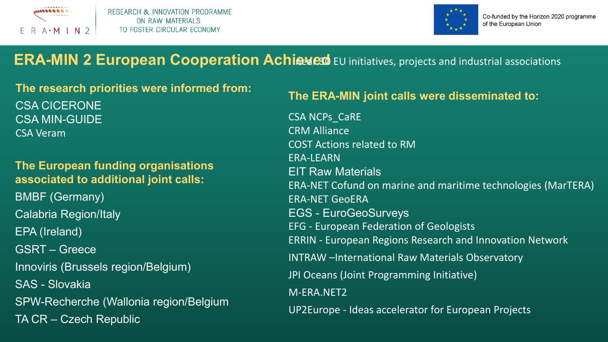



## **ERA-MIN 2 European Cooperation Achieves EU initiatives, projects and industrial associations**

**The research priorities were informed from:** CSA CICERONE CSA MIN-GUIDE CSA Veram

#### **The European funding organisations associated to additional joint calls:**

BMBF (Germany) Calabria Region/Italy EPA (Ireland) GSRT – Greece Innoviris (Brussels region/Belgium) SAS - Slovakia SPW-Recherche (Wallonia region/Belgium TA CR – Czech Republic

#### **The ERA-MIN joint calls were disseminated to:**

CSA NCPs\_CaRE CRM Alliance COST Actions related to RM ERA-LEARN EIT Raw Materials ERA-NET Cofund on marine and maritime technologies (MarTERA) ERA-NET GeoERA EGS - EuroGeoSurveys EFG - European Federation of Geologists ERRIN - European Regions Research and Innovation Network INTRAW –International Raw Materials Observatory JPI Oceans (Joint Programming Initiative) M-ERA.NET2 UP2Europe - Ideas accelerator for European Projects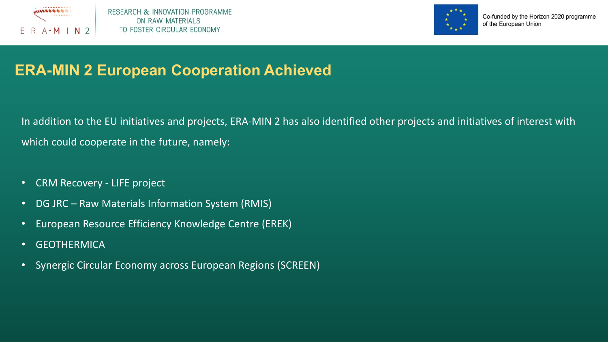



## **ERA-MIN 2 European Cooperation Achieved**

In addition to the EU initiatives and projects, ERA-MIN 2 has also identified other projects and initiatives of interest with which could cooperate in the future, namely:

- CRM Recovery LIFE project
- DG JRC Raw Materials Information System (RMIS)
- European Resource Efficiency Knowledge Centre (EREK)
- GEOTHERMICA
- Synergic Circular Economy across European Regions (SCREEN)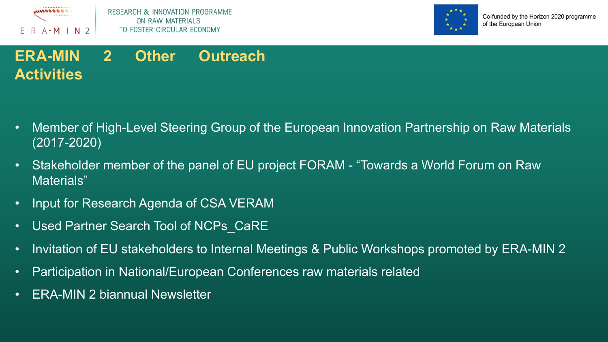



# **ERA-MIN 2 Other Outreach Activities**

- Member of High-Level Steering Group of the European Innovation Partnership on Raw Materials (2017-2020)
- Stakeholder member of the panel of EU project FORAM "Towards a World Forum on Raw Materials"
- Input for Research Agenda of CSA VERAM
- Used Partner Search Tool of NCPs CaRE
- Invitation of EU stakeholders to Internal Meetings & Public Workshops promoted by ERA-MIN 2
- Participation in National/European Conferences raw materials related
- ERA-MIN 2 biannual Newsletter